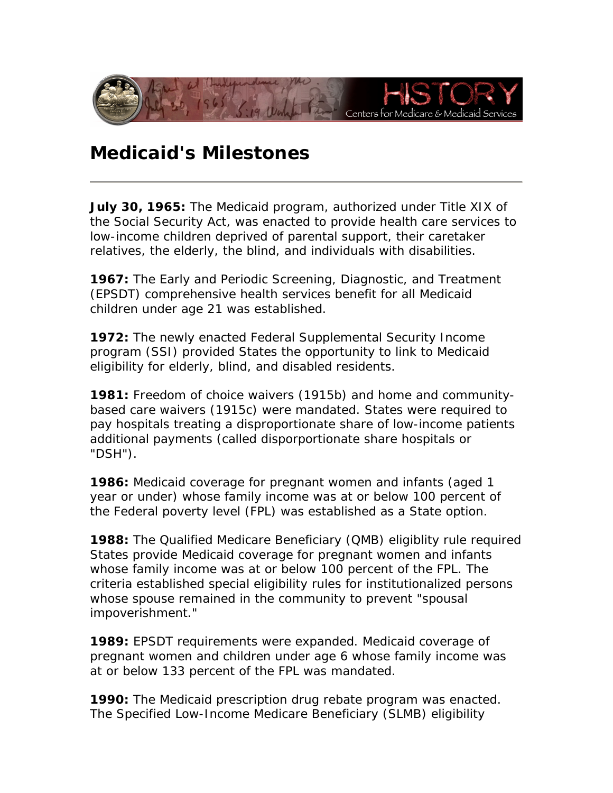

## **Medicaid's Milestones**

**July 30, 1965:** The Medicaid program, authorized under Title XIX of the Social Security Act, was enacted to provide health care services to low-income children deprived of parental support, their caretaker relatives, the elderly, the blind, and individuals with disabilities.

**1967:** The Early and Periodic Screening, Diagnostic, and Treatment (EPSDT) comprehensive health services benefit for all Medicaid children under age 21 was established.

 program (SSI) provided States the opportunity to link to Medicaid **1972:** The newly enacted Federal Supplemental Security Income eligibility for elderly, blind, and disabled residents.

**1981:** Freedom of choice waivers (1915b) and home and communitybased care waivers (1915c) were mandated. States were required to pay hospitals treating a disproportionate share of low-income patients additional payments (called disporportionate share hospitals or "DSH").

 **1986:** Medicaid coverage for pregnant women and infants (aged 1 year or under) whose family income was at or below 100 percent of the Federal poverty level (FPL) was established as a State option.

**1988:** The Qualified Medicare Beneficiary (QMB) eligiblity rule required States provide Medicaid coverage for pregnant women and infants whose family income was at or below 100 percent of the FPL. The criteria established special eligibility rules for institutionalized persons whose spouse remained in the community to prevent "spousal impoverishment."

**1989:** EPSDT requirements were expanded. Medicaid coverage of pregnant women and children under age 6 whose family income was at or below 133 percent of the FPL was mandated.

**1990:** The Medicaid prescription drug rebate program was enacted. The Specified Low-Income Medicare Beneficiary (SLMB) eligibility